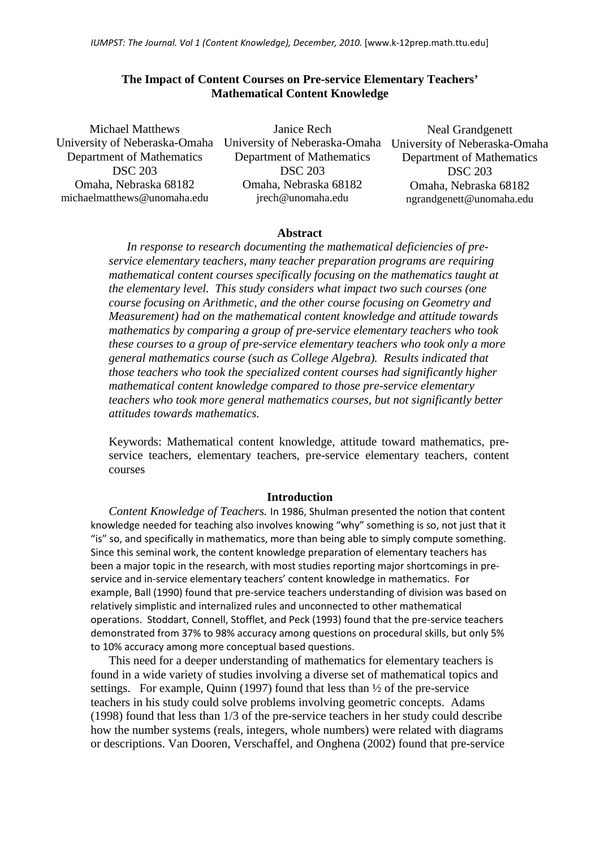## **The Impact of Content Courses on Pre-service Elementary Teachers' Mathematical Content Knowledge**

Michael Matthews University of Neberaska-Omaha Department of Mathematics DSC 203 Omaha, Nebraska 68182 [michaelmatthews@unomaha.edu](mailto:michaelmatthews@unomaha.edu)

Janice Rech University of Neberaska-Omaha University of Neberaska-Omaha Department of Mathematics DSC 203 Omaha, Nebraska 68182 [jrech@unomaha.edu](mailto:jrech@unomaha.edu)

Neal Grandgenett Department of Mathematics DSC 203 Omaha, Nebraska 68182 [ngrandgenett@unomaha.edu](mailto:ngrandgenett@unomaha.edu)

## **Abstract**

*In response to research documenting the mathematical deficiencies of preservice elementary teachers, many teacher preparation programs are requiring mathematical content courses specifically focusing on the mathematics taught at the elementary level. This study considers what impact two such courses (one course focusing on Arithmetic, and the other course focusing on Geometry and Measurement) had on the mathematical content knowledge and attitude towards mathematics by comparing a group of pre-service elementary teachers who took these courses to a group of pre-service elementary teachers who took only a more general mathematics course (such as College Algebra). Results indicated that those teachers who took the specialized content courses had significantly higher mathematical content knowledge compared to those pre-service elementary teachers who took more general mathematics courses, but not significantly better attitudes towards mathematics.* 

Keywords: Mathematical content knowledge, attitude toward mathematics, preservice teachers, elementary teachers, pre-service elementary teachers, content courses

#### **Introduction**

*Content Knowledge of Teachers.* In 1986, Shulman presented the notion that content knowledge needed for teaching also involves knowing "why" something is so, not just that it "is" so, and specifically in mathematics, more than being able to simply compute something. Since this seminal work, the content knowledge preparation of elementary teachers has been a major topic in the research, with most studies reporting major shortcomings in preservice and in-service elementary teachers' content knowledge in mathematics. For example, Ball (1990) found that pre-service teachers understanding of division was based on relatively simplistic and internalized rules and unconnected to other mathematical operations. Stoddart, Connell, Stofflet, and Peck (1993) found that the pre-service teachers demonstrated from 37% to 98% accuracy among questions on procedural skills, but only 5% to 10% accuracy among more conceptual based questions.

This need for a deeper understanding of mathematics for elementary teachers is found in a wide variety of studies involving a diverse set of mathematical topics and settings. For example, Quinn (1997) found that less than ½ of the pre-service teachers in his study could solve problems involving geometric concepts. Adams (1998) found that less than 1/3 of the pre-service teachers in her study could describe how the number systems (reals, integers, whole numbers) were related with diagrams or descriptions. Van Dooren, Verschaffel, and Onghena (2002) found that pre-service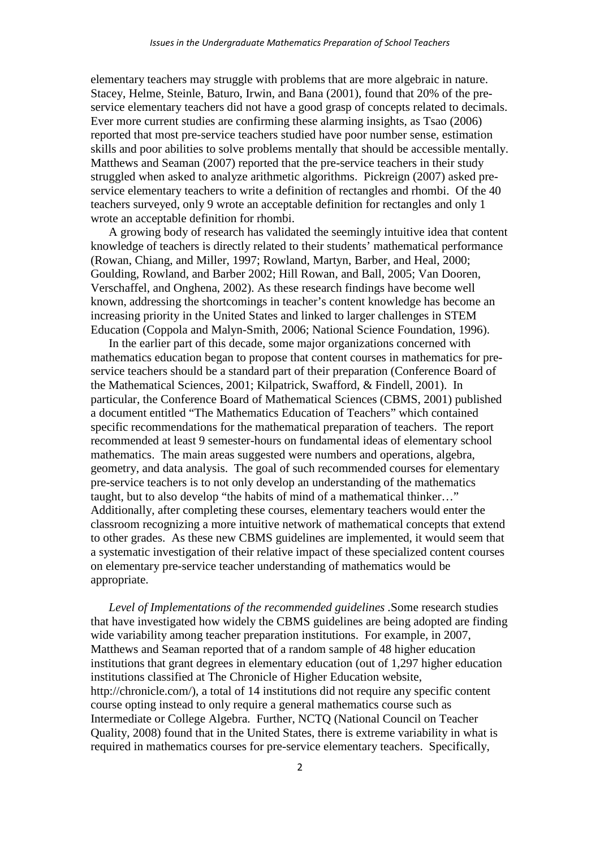elementary teachers may struggle with problems that are more algebraic in nature. Stacey, Helme, Steinle, Baturo, Irwin, and Bana (2001), found that 20% of the preservice elementary teachers did not have a good grasp of concepts related to decimals. Ever more current studies are confirming these alarming insights, as Tsao (2006) reported that most pre-service teachers studied have poor number sense, estimation skills and poor abilities to solve problems mentally that should be accessible mentally. Matthews and Seaman (2007) reported that the pre-service teachers in their study struggled when asked to analyze arithmetic algorithms. Pickreign (2007) asked preservice elementary teachers to write a definition of rectangles and rhombi. Of the 40 teachers surveyed, only 9 wrote an acceptable definition for rectangles and only 1 wrote an acceptable definition for rhombi.

A growing body of research has validated the seemingly intuitive idea that content knowledge of teachers is directly related to their students' mathematical performance (Rowan, Chiang, and Miller, 1997; Rowland, Martyn, Barber, and Heal, 2000; Goulding, Rowland, and Barber 2002; Hill Rowan, and Ball, 2005; Van Dooren, Verschaffel, and Onghena, 2002). As these research findings have become well known, addressing the shortcomings in teacher's content knowledge has become an increasing priority in the United States and linked to larger challenges in STEM Education (Coppola and Malyn-Smith, 2006; National Science Foundation, 1996).

In the earlier part of this decade, some major organizations concerned with mathematics education began to propose that content courses in mathematics for preservice teachers should be a standard part of their preparation (Conference Board of the Mathematical Sciences, 2001; Kilpatrick, Swafford, & Findell, 2001). In particular, the Conference Board of Mathematical Sciences (CBMS, 2001) published a document entitled "The Mathematics Education of Teachers" which contained specific recommendations for the mathematical preparation of teachers. The report recommended at least 9 semester-hours on fundamental ideas of elementary school mathematics. The main areas suggested were numbers and operations, algebra, geometry, and data analysis. The goal of such recommended courses for elementary pre-service teachers is to not only develop an understanding of the mathematics taught, but to also develop "the habits of mind of a mathematical thinker…" Additionally, after completing these courses, elementary teachers would enter the classroom recognizing a more intuitive network of mathematical concepts that extend to other grades. As these new CBMS guidelines are implemented, it would seem that a systematic investigation of their relative impact of these specialized content courses on elementary pre-service teacher understanding of mathematics would be appropriate.

*Level of Implementations of the recommended guidelines .*Some research studies that have investigated how widely the CBMS guidelines are being adopted are finding wide variability among teacher preparation institutions. For example, in 2007, Matthews and Seaman reported that of a random sample of 48 higher education institutions that grant degrees in elementary education (out of 1,297 higher education institutions classified at The Chronicle of Higher Education website, [http://chronicle.com/\)](http://chronicle.com/), a total of 14 institutions did not require any specific content course opting instead to only require a general mathematics course such as Intermediate or College Algebra. Further, NCTQ (National Council on Teacher Quality, 2008) found that in the United States, there is extreme variability in what is required in mathematics courses for pre-service elementary teachers. Specifically,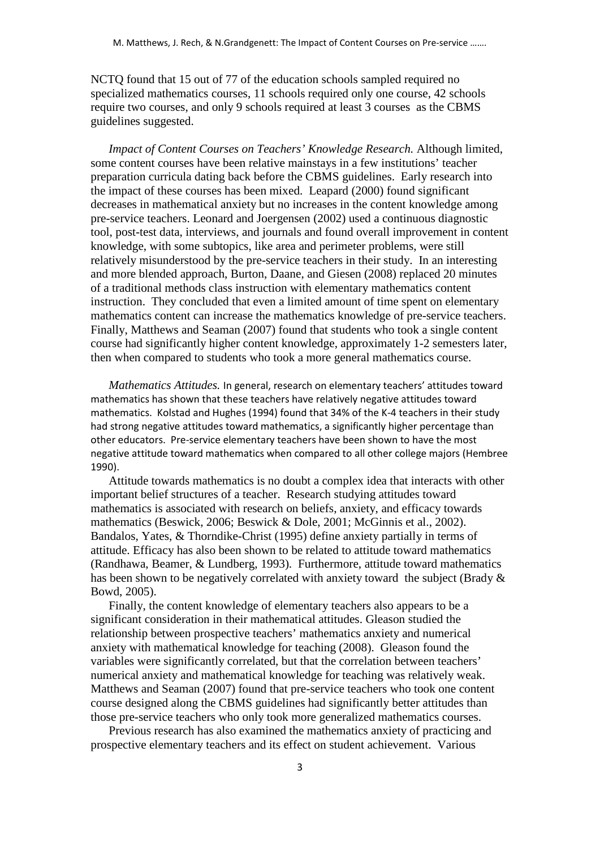NCTQ found that 15 out of 77 of the education schools sampled required no specialized mathematics courses, 11 schools required only one course, 42 schools require two courses, and only 9 schools required at least 3 courses as the CBMS guidelines suggested.

*Impact of Content Courses on Teachers' Knowledge Research.* Although limited, some content courses have been relative mainstays in a few institutions' teacher preparation curricula dating back before the CBMS guidelines. Early research into the impact of these courses has been mixed. Leapard (2000) found significant decreases in mathematical anxiety but no increases in the content knowledge among pre-service teachers. Leonard and Joergensen (2002) used a continuous diagnostic tool, post-test data, interviews, and journals and found overall improvement in content knowledge, with some subtopics, like area and perimeter problems, were still relatively misunderstood by the pre-service teachers in their study. In an interesting and more blended approach, Burton, Daane, and Giesen (2008) replaced 20 minutes of a traditional methods class instruction with elementary mathematics content instruction. They concluded that even a limited amount of time spent on elementary mathematics content can increase the mathematics knowledge of pre-service teachers. Finally, Matthews and Seaman (2007) found that students who took a single content course had significantly higher content knowledge, approximately 1-2 semesters later, then when compared to students who took a more general mathematics course.

*Mathematics Attitudes.* In general, research on elementary teachers' attitudes toward mathematics has shown that these teachers have relatively negative attitudes toward mathematics. Kolstad and Hughes (1994) found that 34% of the K-4 teachers in their study had strong negative attitudes toward mathematics, a significantly higher percentage than other educators. Pre-service elementary teachers have been shown to have the most negative attitude toward mathematics when compared to all other college majors (Hembree 1990).

Attitude towards mathematics is no doubt a complex idea that interacts with other important belief structures of a teacher. Research studying attitudes toward mathematics is associated with research on beliefs, anxiety, and efficacy towards mathematics (Beswick, 2006; Beswick & Dole, 2001; McGinnis et al., 2002). Bandalos, Yates, & Thorndike-Christ (1995) define anxiety partially in terms of attitude. Efficacy has also been shown to be related to attitude toward mathematics (Randhawa, Beamer, & Lundberg, 1993). Furthermore, attitude toward mathematics has been shown to be negatively correlated with anxiety toward the subject (Brady & Bowd, 2005).

Finally, the content knowledge of elementary teachers also appears to be a significant consideration in their mathematical attitudes. Gleason studied the relationship between prospective teachers' mathematics anxiety and numerical anxiety with mathematical knowledge for teaching (2008). Gleason found the variables were significantly correlated, but that the correlation between teachers' numerical anxiety and mathematical knowledge for teaching was relatively weak. Matthews and Seaman (2007) found that pre-service teachers who took one content course designed along the CBMS guidelines had significantly better attitudes than those pre-service teachers who only took more generalized mathematics courses.

Previous research has also examined the mathematics anxiety of practicing and prospective elementary teachers and its effect on student achievement. Various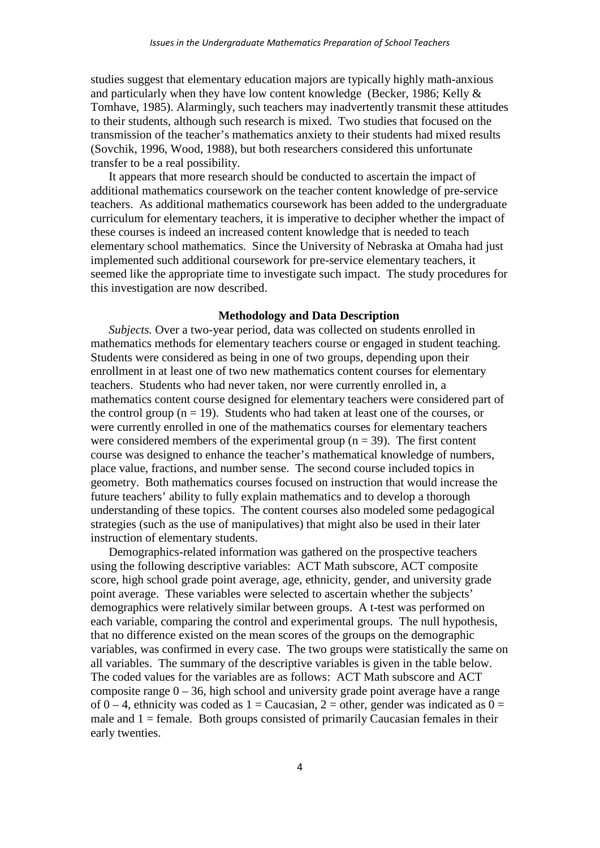studies suggest that elementary education majors are typically highly math-anxious and particularly when they have low content knowledge (Becker, 1986; Kelly & Tomhave, 1985). Alarmingly, such teachers may inadvertently transmit these attitudes to their students, although such research is mixed. Two studies that focused on the transmission of the teacher's mathematics anxiety to their students had mixed results (Sovchik, 1996, Wood, 1988), but both researchers considered this unfortunate transfer to be a real possibility.

It appears that more research should be conducted to ascertain the impact of additional mathematics coursework on the teacher content knowledge of pre-service teachers. As additional mathematics coursework has been added to the undergraduate curriculum for elementary teachers, it is imperative to decipher whether the impact of these courses is indeed an increased content knowledge that is needed to teach elementary school mathematics. Since the University of Nebraska at Omaha had just implemented such additional coursework for pre-service elementary teachers, it seemed like the appropriate time to investigate such impact. The study procedures for this investigation are now described.

# **Methodology and Data Description**

*Subjects.* Over a two-year period, data was collected on students enrolled in mathematics methods for elementary teachers course or engaged in student teaching. Students were considered as being in one of two groups, depending upon their enrollment in at least one of two new mathematics content courses for elementary teachers. Students who had never taken, nor were currently enrolled in, a mathematics content course designed for elementary teachers were considered part of the control group  $(n = 19)$ . Students who had taken at least one of the courses, or were currently enrolled in one of the mathematics courses for elementary teachers were considered members of the experimental group  $(n = 39)$ . The first content course was designed to enhance the teacher's mathematical knowledge of numbers, place value, fractions, and number sense. The second course included topics in geometry. Both mathematics courses focused on instruction that would increase the future teachers' ability to fully explain mathematics and to develop a thorough understanding of these topics. The content courses also modeled some pedagogical strategies (such as the use of manipulatives) that might also be used in their later instruction of elementary students.

Demographics-related information was gathered on the prospective teachers using the following descriptive variables: ACT Math subscore, ACT composite score, high school grade point average, age, ethnicity, gender, and university grade point average. These variables were selected to ascertain whether the subjects' demographics were relatively similar between groups. A t-test was performed on each variable, comparing the control and experimental groups. The null hypothesis, that no difference existed on the mean scores of the groups on the demographic variables, was confirmed in every case. The two groups were statistically the same on all variables. The summary of the descriptive variables is given in the table below. The coded values for the variables are as follows: ACT Math subscore and ACT composite range  $0 - 36$ , high school and university grade point average have a range of 0 – 4, ethnicity was coded as  $1 =$ Caucasian, 2 = other, gender was indicated as  $0 =$ male and  $1 =$  female. Both groups consisted of primarily Caucasian females in their early twenties.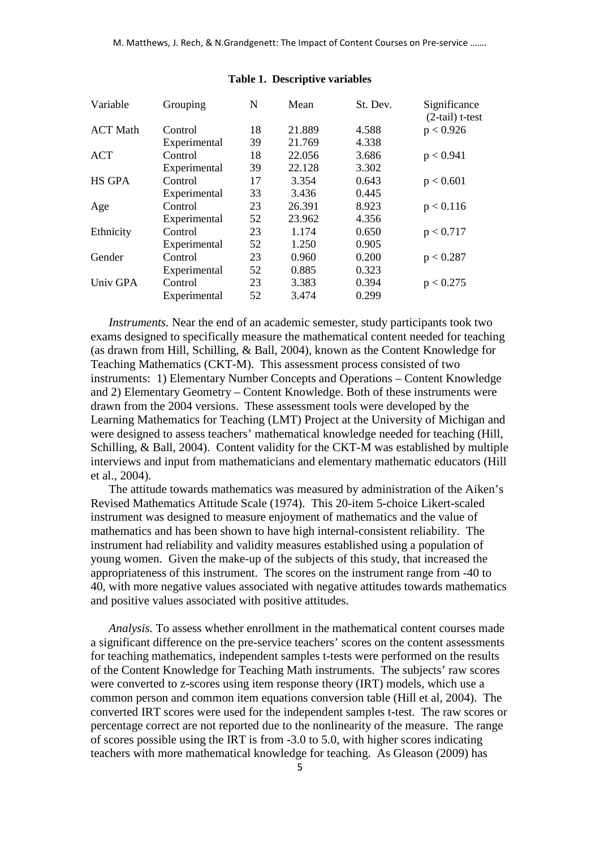| Variable        | Grouping     | N  | Mean   | St. Dev. | Significance<br>$(2-tail) t-test$ |
|-----------------|--------------|----|--------|----------|-----------------------------------|
| <b>ACT Math</b> | Control      | 18 | 21.889 | 4.588    | p < 0.926                         |
|                 | Experimental | 39 | 21.769 | 4.338    |                                   |
| <b>ACT</b>      | Control      | 18 | 22.056 | 3.686    | p < 0.941                         |
|                 | Experimental | 39 | 22.128 | 3.302    |                                   |
| <b>HS GPA</b>   | Control      | 17 | 3.354  | 0.643    | p < 0.601                         |
|                 | Experimental | 33 | 3.436  | 0.445    |                                   |
| Age             | Control      | 23 | 26.391 | 8.923    | p < 0.116                         |
|                 | Experimental | 52 | 23.962 | 4.356    |                                   |
| Ethnicity       | Control      | 23 | 1.174  | 0.650    | p < 0.717                         |
|                 | Experimental | 52 | 1.250  | 0.905    |                                   |
| Gender          | Control      | 23 | 0.960  | 0.200    | p < 0.287                         |
|                 | Experimental | 52 | 0.885  | 0.323    |                                   |
| Univ GPA        | Control      | 23 | 3.383  | 0.394    | p < 0.275                         |
|                 | Experimental | 52 | 3.474  | 0.299    |                                   |

#### **Table 1. Descriptive variables**

*Instruments.* Near the end of an academic semester, study participants took two exams designed to specifically measure the mathematical content needed for teaching (as drawn from Hill, Schilling, & Ball, 2004), known as the Content Knowledge for Teaching Mathematics (CKT-M). This assessment process consisted of two instruments: 1) Elementary Number Concepts and Operations – Content Knowledge and 2) Elementary Geometry – Content Knowledge. Both of these instruments were drawn from the 2004 versions. These assessment tools were developed by the Learning Mathematics for Teaching (LMT) Project at the University of Michigan and were designed to assess teachers' mathematical knowledge needed for teaching (Hill, Schilling, & Ball, 2004). Content validity for the CKT-M was established by multiple interviews and input from mathematicians and elementary mathematic educators (Hill et al., 2004).

The attitude towards mathematics was measured by administration of the Aiken's Revised Mathematics Attitude Scale (1974). This 20-item 5-choice Likert-scaled instrument was designed to measure enjoyment of mathematics and the value of mathematics and has been shown to have high internal-consistent reliability. The instrument had reliability and validity measures established using a population of young women. Given the make-up of the subjects of this study, that increased the appropriateness of this instrument. The scores on the instrument range from -40 to 40, with more negative values associated with negative attitudes towards mathematics and positive values associated with positive attitudes.

*Analysis.* To assess whether enrollment in the mathematical content courses made a significant difference on the pre-service teachers' scores on the content assessments for teaching mathematics, independent samples t-tests were performed on the results of the Content Knowledge for Teaching Math instruments. The subjects' raw scores were converted to z-scores using item response theory (IRT) models, which use a common person and common item equations conversion table (Hill et al, 2004). The converted IRT scores were used for the independent samples t-test. The raw scores or percentage correct are not reported due to the nonlinearity of the measure. The range of scores possible using the IRT is from -3.0 to 5.0, with higher scores indicating teachers with more mathematical knowledge for teaching. As Gleason (2009) has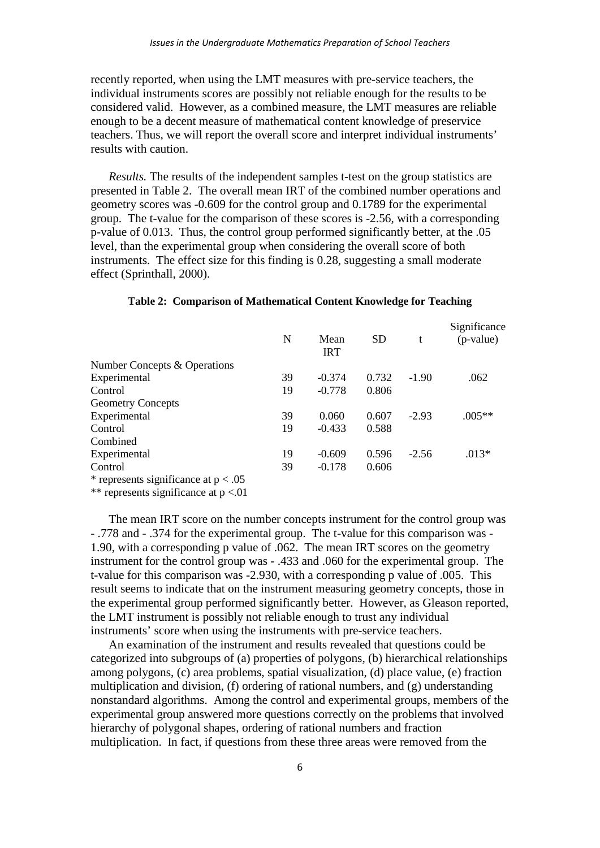recently reported, when using the LMT measures with pre-service teachers, the individual instruments scores are possibly not reliable enough for the results to be considered valid. However, as a combined measure, the LMT measures are reliable enough to be a decent measure of mathematical content knowledge of preservice teachers. Thus, we will report the overall score and interpret individual instruments' results with caution.

*Results.* The results of the independent samples t-test on the group statistics are presented in Table 2. The overall mean IRT of the combined number operations and geometry scores was -0.609 for the control group and 0.1789 for the experimental group. The t-value for the comparison of these scores is -2.56, with a corresponding p-value of 0.013. Thus, the control group performed significantly better, at the .05 level, than the experimental group when considering the overall score of both instruments. The effect size for this finding is 0.28, suggesting a small moderate effect (Sprinthall, 2000).

|                                        | N  | Mean<br><b>IRT</b> | <b>SD</b> | t       | Significance<br>(p-value) |
|----------------------------------------|----|--------------------|-----------|---------|---------------------------|
| Number Concepts & Operations           |    |                    |           |         |                           |
| Experimental                           | 39 | $-0.374$           | 0.732     | $-1.90$ | .062                      |
| Control                                | 19 | $-0.778$           | 0.806     |         |                           |
| <b>Geometry Concepts</b>               |    |                    |           |         |                           |
| Experimental                           | 39 | 0.060              | 0.607     | $-2.93$ | $.005**$                  |
| Control                                | 19 | $-0.433$           | 0.588     |         |                           |
| Combined                               |    |                    |           |         |                           |
| Experimental                           | 19 | $-0.609$           | 0.596     | $-2.56$ | $.013*$                   |
| Control                                | 39 | $-0.178$           | 0.606     |         |                           |
| * represents significance at $p < .05$ |    |                    |           |         |                           |

## **Table 2: Comparison of Mathematical Content Knowledge for Teaching**

\*\* represents significance at p <.01

The mean IRT score on the number concepts instrument for the control group was - .778 and - .374 for the experimental group. The t-value for this comparison was - 1.90, with a corresponding p value of .062. The mean IRT scores on the geometry instrument for the control group was - .433 and .060 for the experimental group. The t-value for this comparison was -2.930, with a corresponding p value of .005. This result seems to indicate that on the instrument measuring geometry concepts, those in the experimental group performed significantly better. However, as Gleason reported, the LMT instrument is possibly not reliable enough to trust any individual instruments' score when using the instruments with pre-service teachers.

An examination of the instrument and results revealed that questions could be categorized into subgroups of (a) properties of polygons, (b) hierarchical relationships among polygons, (c) area problems, spatial visualization, (d) place value, (e) fraction multiplication and division, (f) ordering of rational numbers, and (g) understanding nonstandard algorithms. Among the control and experimental groups, members of the experimental group answered more questions correctly on the problems that involved hierarchy of polygonal shapes, ordering of rational numbers and fraction multiplication. In fact, if questions from these three areas were removed from the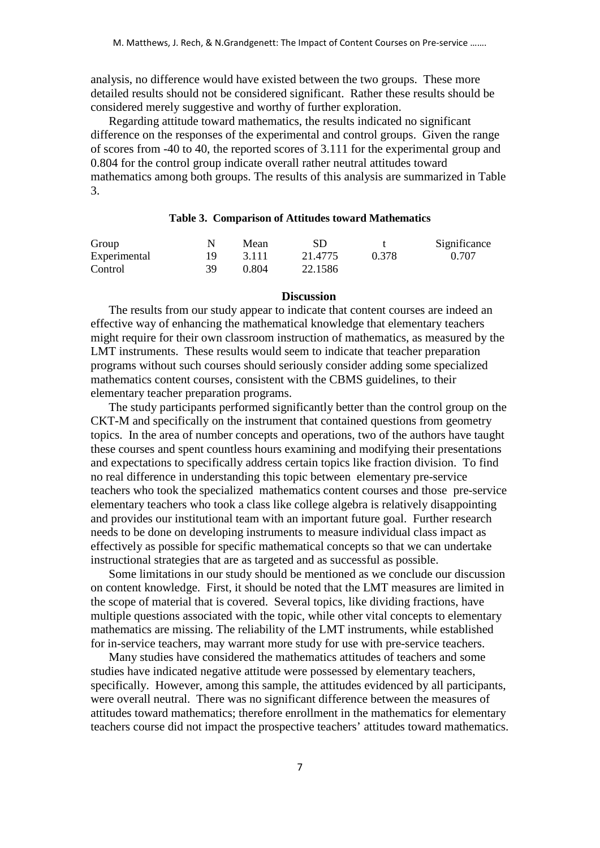analysis, no difference would have existed between the two groups. These more detailed results should not be considered significant. Rather these results should be considered merely suggestive and worthy of further exploration.

Regarding attitude toward mathematics, the results indicated no significant difference on the responses of the experimental and control groups. Given the range of scores from -40 to 40, the reported scores of 3.111 for the experimental group and 0.804 for the control group indicate overall rather neutral attitudes toward mathematics among both groups. The results of this analysis are summarized in Table 3.

### **Table 3. Comparison of Attitudes toward Mathematics**

| Group        |     | Mean    | <b>SD</b> |       | Significance |
|--------------|-----|---------|-----------|-------|--------------|
| Experimental | 19. | - 3.111 | 21.4775   | 0.378 | 0.707        |
| Control      | 39  | 0.804   | 22.1586   |       |              |

### **Discussion**

The results from our study appear to indicate that content courses are indeed an effective way of enhancing the mathematical knowledge that elementary teachers might require for their own classroom instruction of mathematics, as measured by the LMT instruments. These results would seem to indicate that teacher preparation programs without such courses should seriously consider adding some specialized mathematics content courses, consistent with the CBMS guidelines, to their elementary teacher preparation programs.

The study participants performed significantly better than the control group on the CKT-M and specifically on the instrument that contained questions from geometry topics. In the area of number concepts and operations, two of the authors have taught these courses and spent countless hours examining and modifying their presentations and expectations to specifically address certain topics like fraction division. To find no real difference in understanding this topic between elementary pre-service teachers who took the specialized mathematics content courses and those pre-service elementary teachers who took a class like college algebra is relatively disappointing and provides our institutional team with an important future goal. Further research needs to be done on developing instruments to measure individual class impact as effectively as possible for specific mathematical concepts so that we can undertake instructional strategies that are as targeted and as successful as possible.

Some limitations in our study should be mentioned as we conclude our discussion on content knowledge. First, it should be noted that the LMT measures are limited in the scope of material that is covered. Several topics, like dividing fractions, have multiple questions associated with the topic, while other vital concepts to elementary mathematics are missing. The reliability of the LMT instruments, while established for in-service teachers, may warrant more study for use with pre-service teachers.

Many studies have considered the mathematics attitudes of teachers and some studies have indicated negative attitude were possessed by elementary teachers, specifically. However, among this sample, the attitudes evidenced by all participants, were overall neutral. There was no significant difference between the measures of attitudes toward mathematics; therefore enrollment in the mathematics for elementary teachers course did not impact the prospective teachers' attitudes toward mathematics.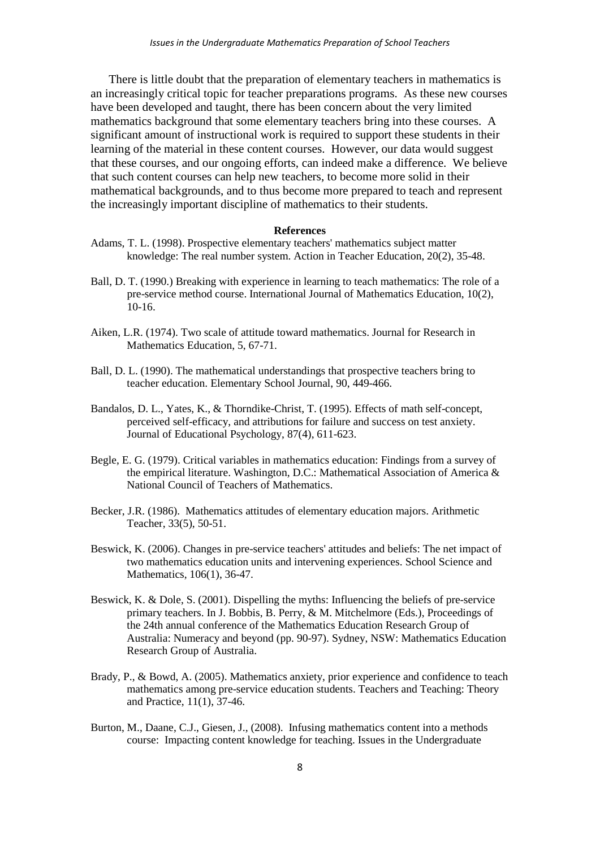There is little doubt that the preparation of elementary teachers in mathematics is an increasingly critical topic for teacher preparations programs. As these new courses have been developed and taught, there has been concern about the very limited mathematics background that some elementary teachers bring into these courses. A significant amount of instructional work is required to support these students in their learning of the material in these content courses. However, our data would suggest that these courses, and our ongoing efforts, can indeed make a difference. We believe that such content courses can help new teachers, to become more solid in their mathematical backgrounds, and to thus become more prepared to teach and represent the increasingly important discipline of mathematics to their students.

#### **References**

- Adams, T. L. (1998). Prospective elementary teachers' mathematics subject matter knowledge: The real number system. Action in Teacher Education, 20(2), 35-48.
- Ball, D. T. (1990.) Breaking with experience in learning to teach mathematics: The role of a pre-service method course. International Journal of Mathematics Education, 10(2),  $10-16$ .
- Aiken, L.R. (1974). Two scale of attitude toward mathematics. Journal for Research in Mathematics Education, 5, 67-71.
- Ball, D. L. (1990). The mathematical understandings that prospective teachers bring to teacher education. Elementary School Journal, 90, 449-466.
- Bandalos, D. L., Yates, K., & Thorndike-Christ, T. (1995). Effects of math self-concept, perceived self-efficacy, and attributions for failure and success on test anxiety. Journal of Educational Psychology, 87(4), 611-623.
- Begle, E. G. (1979). Critical variables in mathematics education: Findings from a survey of the empirical literature. Washington, D.C.: Mathematical Association of America & National Council of Teachers of Mathematics.
- Becker, J.R. (1986). Mathematics attitudes of elementary education majors. Arithmetic Teacher, 33(5), 50-51.
- Beswick, K. (2006). Changes in pre-service teachers' attitudes and beliefs: The net impact of two mathematics education units and intervening experiences. School Science and Mathematics, 106(1), 36-47.
- Beswick, K. & Dole, S. (2001). Dispelling the myths: Influencing the beliefs of pre-service primary teachers. In J. Bobbis, B. Perry, & M. Mitchelmore (Eds.), Proceedings of the 24th annual conference of the Mathematics Education Research Group of Australia: Numeracy and beyond (pp. 90-97). Sydney, NSW: Mathematics Education Research Group of Australia.
- Brady, P., & Bowd, A. (2005). Mathematics anxiety, prior experience and confidence to teach mathematics among pre-service education students. Teachers and Teaching: Theory and Practice, 11(1), 37-46.
- Burton, M., Daane, C.J., Giesen, J., (2008). Infusing mathematics content into a methods course: Impacting content knowledge for teaching. Issues in the Undergraduate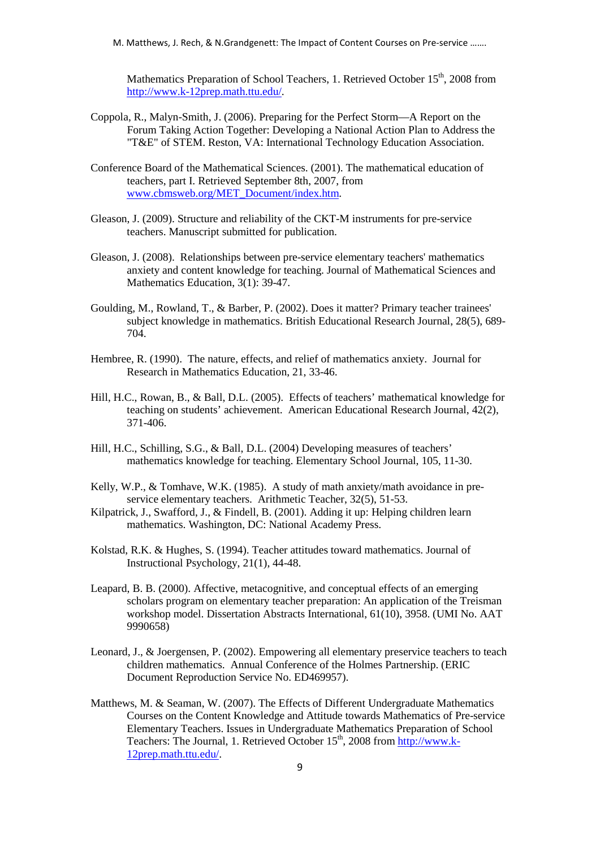M. Matthews, J. Rech, & N.Grandgenett: The Impact of Content Courses on Pre-service …….

Mathematics Preparation of School Teachers, 1. Retrieved October 15<sup>th</sup>, 2008 from [http://www.k-12prep.math.ttu.edu/.](http://www.k-12prep.math.ttu.edu/)

- Coppola, R., Malyn-Smith, J. (2006). Preparing for the Perfect Storm—A Report on the Forum Taking Action Together: Developing a National Action Plan to Address the "T&E" of STEM. Reston, VA: International Technology Education Association.
- Conference Board of the Mathematical Sciences. (2001). The mathematical education of teachers, part I. Retrieved September 8th, 2007, from [www.cbmsweb.org/MET\\_Document/index.htm.](http://www.cbmsweb.org/MET_Document/index.htm)
- Gleason, J. (2009). Structure and reliability of the CKT-M instruments for pre-service teachers. Manuscript submitted for publication.
- Gleason, J. (2008). Relationships between pre-service elementary teachers' mathematics anxiety and content knowledge for teaching. Journal of Mathematical Sciences and Mathematics Education, 3(1): 39-47.
- Goulding, M., Rowland, T., & Barber, P. (2002). Does it matter? Primary teacher trainees' subject knowledge in mathematics. British Educational Research Journal, 28(5), 689- 704.
- Hembree, R. (1990). The nature, effects, and relief of mathematics anxiety. Journal for Research in Mathematics Education, 21, 33-46.
- Hill, H.C., Rowan, B., & Ball, D.L. (2005). Effects of teachers' mathematical knowledge for teaching on students' achievement. American Educational Research Journal, 42(2), 371-406.
- Hill, H.C., Schilling, S.G., & Ball, D.L. (2004) Developing measures of teachers' mathematics knowledge for teaching. Elementary School Journal, 105, 11-30.
- Kelly, W.P., & Tomhave, W.K. (1985). A study of math anxiety/math avoidance in preservice elementary teachers. Arithmetic Teacher, 32(5), 51-53.
- Kilpatrick, J., Swafford, J., & Findell, B. (2001). Adding it up: Helping children learn mathematics. Washington, DC: National Academy Press.
- Kolstad, R.K. & Hughes, S. (1994). Teacher attitudes toward mathematics. Journal of Instructional Psychology, 21(1), 44-48.
- Leapard, B. B. (2000). Affective, metacognitive, and conceptual effects of an emerging scholars program on elementary teacher preparation: An application of the Treisman workshop model. Dissertation Abstracts International, 61(10), 3958. (UMI No. AAT 9990658)
- Leonard, J., & Joergensen, P. (2002). Empowering all elementary preservice teachers to teach children mathematics. Annual Conference of the Holmes Partnership. (ERIC Document Reproduction Service No. ED469957).
- Matthews, M. & Seaman, W. (2007). The Effects of Different Undergraduate Mathematics Courses on the Content Knowledge and Attitude towards Mathematics of Pre-service Elementary Teachers. Issues in Undergraduate Mathematics Preparation of School Teachers: The Journal, 1. Retrieved October 15<sup>th</sup>, 2008 fro[m http://www.k-](http://www.k-12prep.math.ttu.edu/)[12prep.math.ttu.edu/.](http://www.k-12prep.math.ttu.edu/)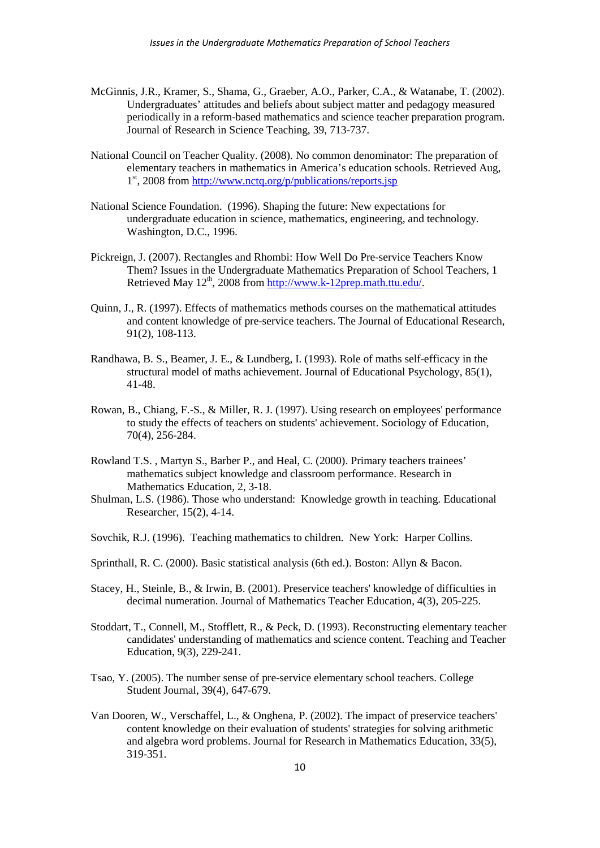- McGinnis, J.R., Kramer, S., Shama, G., Graeber, A.O., Parker, C.A., & Watanabe, T. (2002). Undergraduates' attitudes and beliefs about subject matter and pedagogy measured periodically in a reform-based mathematics and science teacher preparation program. Journal of Research in Science Teaching, 39, 713-737.
- National Council on Teacher Quality. (2008). No common denominator: The preparation of elementary teachers in mathematics in America's education schools. Retrieved Aug,  $1<sup>st</sup>$ , 2008 from<http://www.nctq.org/p/publications/reports.jsp>
- National Science Foundation. (1996). Shaping the future: New expectations for undergraduate education in science, mathematics, engineering, and technology. Washington, D.C., 1996.
- Pickreign, J. (2007). Rectangles and Rhombi: How Well Do Pre-service Teachers Know Them? Issues in the Undergraduate Mathematics Preparation of School Teachers, 1 Retrieved May 12<sup>th</sup>, 2008 from [http://www.k-12prep.math.ttu.edu/.](http://www.k-12prep.math.ttu.edu/)
- Quinn, J., R. (1997). Effects of mathematics methods courses on the mathematical attitudes and content knowledge of pre-service teachers. The Journal of Educational Research, 91(2), 108-113.
- Randhawa, B. S., Beamer, J. E., & Lundberg, I. (1993). Role of maths self-efficacy in the structural model of maths achievement. Journal of Educational Psychology, 85(1), 41-48.
- Rowan, B., Chiang, F.-S., & Miller, R. J. (1997). Using research on employees' performance to study the effects of teachers on students' achievement. Sociology of Education, 70(4), 256-284.
- Rowland T.S. , Martyn S., Barber P., and Heal, C. (2000). Primary teachers trainees' mathematics subject knowledge and classroom performance. Research in Mathematics Education, 2, 3-18.
- Shulman, L.S. (1986). Those who understand: Knowledge growth in teaching. Educational Researcher, 15(2), 4-14.
- Sovchik, R.J. (1996). Teaching mathematics to children. New York: Harper Collins.
- Sprinthall, R. C. (2000). Basic statistical analysis (6th ed.). Boston: Allyn & Bacon.
- Stacey, H., Steinle, B., & Irwin, B. (2001). Preservice teachers' knowledge of difficulties in decimal numeration. Journal of Mathematics Teacher Education, 4(3), 205-225.
- Stoddart, T., Connell, M., Stofflett, R., & Peck, D. (1993). Reconstructing elementary teacher candidates' understanding of mathematics and science content. Teaching and Teacher Education, 9(3), 229-241.
- Tsao, Y. (2005). The number sense of pre-service elementary school teachers. College Student Journal, 39(4), 647-679.
- Van Dooren, W., Verschaffel, L., & Onghena, P. (2002). The impact of preservice teachers' content knowledge on their evaluation of students' strategies for solving arithmetic and algebra word problems. Journal for Research in Mathematics Education, 33(5), 319-351.